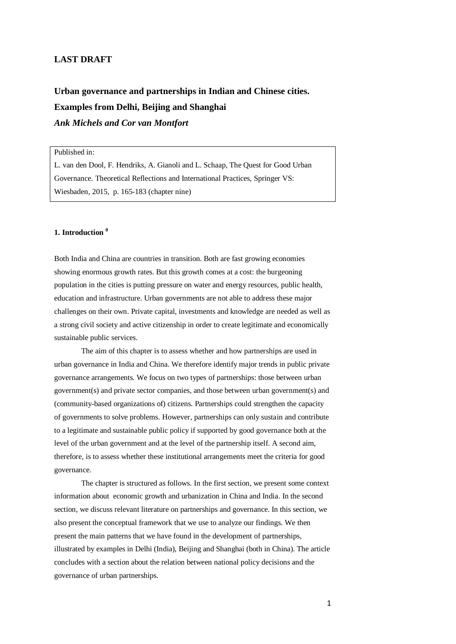# **LAST DRAFT**

**Urban governance and partnerships in Indian and Chinese cities. Examples from Delhi, Beijing and Shanghai** *Ank Michels and Cor van Montfort*

Published in:

L. van den Dool, F. Hendriks, A. Gianoli and L. Schaap, The Quest for Good Urban Governance. Theoretical Reflections and International Practices, Springer VS: Wiesbaden, 2015, p. 165-183 (chapter nine)

# **1. Introduction <sup>0</sup>**

Both India and China are countries in transition. Both are fast growing economies showing enormous growth rates. But this growth comes at a cost: the burgeoning population in the cities is putting pressure on water and energy resources, public health, education and infrastructure. Urban governments are not able to address these major challenges on their own. Private capital, investments and knowledge are needed as well as a strong civil society and active citizenship in order to create legitimate and economically sustainable public services.

The aim of this chapter is to assess whether and how partnerships are used in urban governance in India and China. We therefore identify major trends in public private governance arrangements. We focus on two types of partnerships: those between urban government(s) and private sector companies, and those between urban government(s) and (community-based organizations of) citizens. Partnerships could strengthen the capacity of governments to solve problems. However, partnerships can only sustain and contribute to a legitimate and sustainable public policy if supported by good governance both at the level of the urban government and at the level of the partnership itself. A second aim, therefore, is to assess whether these institutional arrangements meet the criteria for good governance.

The chapter is structured as follows. In the first section, we present some context information about economic growth and urbanization in China and India. In the second section, we discuss relevant literature on partnerships and governance. In this section, we also present the conceptual framework that we use to analyze our findings. We then present the main patterns that we have found in the development of partnerships, illustrated by examples in Delhi (India), Beijing and Shanghai (both in China). The article concludes with a section about the relation between national policy decisions and the governance of urban partnerships.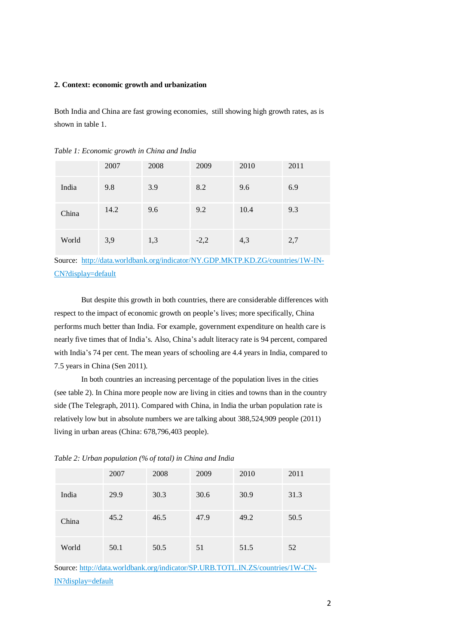### **2. Context: economic growth and urbanization**

Both India and China are fast growing economies, still showing high growth rates, as is shown in table 1.

|       | 2007 | 2008 | 2009   | 2010 | 2011 |
|-------|------|------|--------|------|------|
| India | 9.8  | 3.9  | 8.2    | 9.6  | 6.9  |
| China | 14.2 | 9.6  | 9.2    | 10.4 | 9.3  |
| World | 3,9  | 1,3  | $-2,2$ | 4,3  | 2,7  |

*Table 1: Economic growth in China and India*

Source: [http://data.worldbank.org/indicator/NY.GDP.MKTP.KD.ZG/countries/1W-IN-](http://data.worldbank.org/indicator/NY.GDP.MKTP.KD.ZG/countries/1W-IN-CN?display=default)[CN?display=default](http://data.worldbank.org/indicator/NY.GDP.MKTP.KD.ZG/countries/1W-IN-CN?display=default)

But despite this growth in both countries, there are considerable differences with respect to the impact of economic growth on people's lives; more specifically, China performs much better than India. For example, government expenditure on health care is nearly five times that of India's. Also, China's adult literacy rate is 94 percent, compared with India's 74 per cent. The mean years of schooling are 4.4 years in India, compared to 7.5 years in China (Sen 2011).

In both countries an increasing percentage of the population lives in the cities (see table 2). In China more people now are living in cities and towns than in the country side (The Telegraph, 2011). Compared with China, in India the urban population rate is relatively low but in absolute numbers we are talking about 388,524,909 people (2011) living in urban areas (China: 678,796,403 people).

*Table 2: Urban population (% of total) in China and India*

|       | 2007 | 2008 | 2009 | 2010 | 2011 |
|-------|------|------|------|------|------|
| India | 29.9 | 30.3 | 30.6 | 30.9 | 31.3 |
| China | 45.2 | 46.5 | 47.9 | 49.2 | 50.5 |
| World | 50.1 | 50.5 | 51   | 51.5 | 52   |

Source: [http://data.worldbank.org/indicator/SP.URB.TOTL.IN.ZS/countries/1W-CN-](http://data.worldbank.org/indicator/SP.URB.TOTL.IN.ZS/countries/1W-CN-IN?display=default)[IN?display=default](http://data.worldbank.org/indicator/SP.URB.TOTL.IN.ZS/countries/1W-CN-IN?display=default)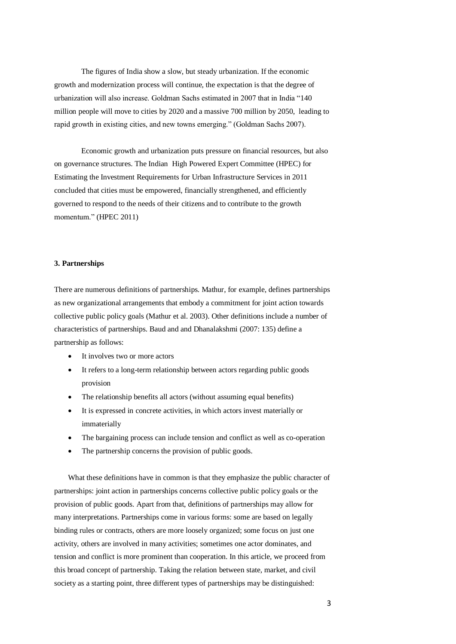The figures of India show a slow, but steady urbanization. If the economic growth and modernization process will continue, the expectation is that the degree of urbanization will also increase. Goldman Sachs estimated in 2007 that in India "140 million people will move to cities by 2020 and a massive 700 million by 2050, leading to rapid growth in existing cities, and new towns emerging." (Goldman Sachs 2007).

Economic growth and urbanization puts pressure on financial resources, but also on governance structures. The Indian High Powered Expert Committee (HPEC) for Estimating the Investment Requirements for Urban Infrastructure Services in 2011 concluded that cities must be empowered, financially strengthened, and efficiently governed to respond to the needs of their citizens and to contribute to the growth momentum." (HPEC 2011)

# **3. Partnerships**

There are numerous definitions of partnerships. Mathur, for example, defines partnerships as new organizational arrangements that embody a commitment for joint action towards collective public policy goals (Mathur et al. 2003). Other definitions include a number of characteristics of partnerships. Baud and and Dhanalakshmi (2007: 135) define a partnership as follows:

- It involves two or more actors
- It refers to a long-term relationship between actors regarding public goods provision
- The relationship benefits all actors (without assuming equal benefits)
- It is expressed in concrete activities, in which actors invest materially or immaterially
- The bargaining process can include tension and conflict as well as co-operation
- The partnership concerns the provision of public goods.

What these definitions have in common is that they emphasize the public character of partnerships: joint action in partnerships concerns collective public policy goals or the provision of public goods. Apart from that, definitions of partnerships may allow for many interpretations. Partnerships come in various forms: some are based on legally binding rules or contracts, others are more loosely organized; some focus on just one activity, others are involved in many activities; sometimes one actor dominates, and tension and conflict is more prominent than cooperation. In this article, we proceed from this broad concept of partnership. Taking the relation between state, market, and civil society as a starting point, three different types of partnerships may be distinguished: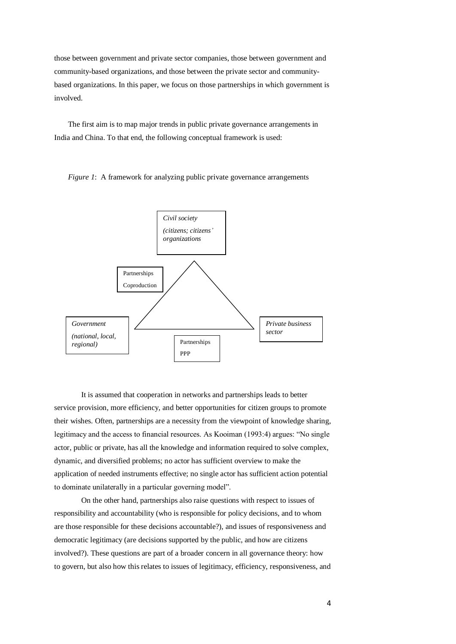those between government and private sector companies, those between government and community-based organizations, and those between the private sector and communitybased organizations. In this paper, we focus on those partnerships in which government is involved.

The first aim is to map major trends in public private governance arrangements in India and China. To that end, the following conceptual framework is used:



*Figure 1*: A framework for analyzing public private governance arrangements

It is assumed that cooperation in networks and partnerships leads to better service provision, more efficiency, and better opportunities for citizen groups to promote their wishes. Often, partnerships are a necessity from the viewpoint of knowledge sharing, legitimacy and the access to financial resources. As Kooiman (1993:4) argues: "No single actor, public or private, has all the knowledge and information required to solve complex, dynamic, and diversified problems; no actor has sufficient overview to make the application of needed instruments effective; no single actor has sufficient action potential to dominate unilaterally in a particular governing model".

On the other hand, partnerships also raise questions with respect to issues of responsibility and accountability (who is responsible for policy decisions, and to whom are those responsible for these decisions accountable?), and issues of responsiveness and democratic legitimacy (are decisions supported by the public, and how are citizens involved?). These questions are part of a broader concern in all governance theory: how to govern, but also how this relates to issues of legitimacy, efficiency, responsiveness, and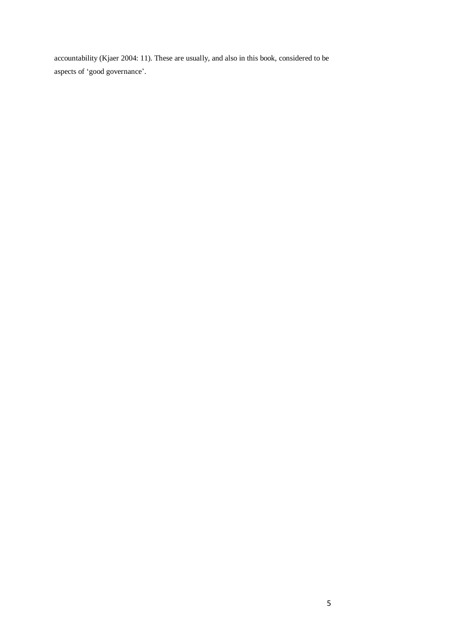accountability (Kjaer 2004: 11). These are usually, and also in this book, considered to be aspects of 'good governance'.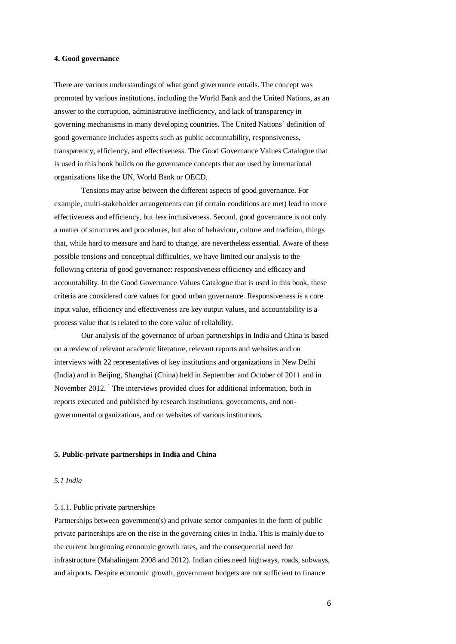#### **4. Good governance**

There are various understandings of what good governance entails. The concept was promoted by various institutions, including the World Bank and the United Nations, as an answer to the corruption, administrative inefficiency, and lack of transparency in governing mechanisms in many developing countries. The United Nations' definition of good governance includes aspects such as public accountability, responsiveness, transparency, efficiency, and effectiveness. The Good Governance Values Catalogue that is used in this book builds on the governance concepts that are used by international organizations like the UN, World Bank or OECD.

Tensions may arise between the different aspects of good governance. For example, multi-stakeholder arrangements can (if certain conditions are met) lead to more effectiveness and efficiency, but less inclusiveness. Second, good governance is not only a matter of structures and procedures, but also of behaviour, culture and tradition, things that, while hard to measure and hard to change, are nevertheless essential. Aware of these possible tensions and conceptual difficulties, we have limited our analysis to the following criteria of good governance: responsiveness efficiency and efficacy and accountability. In the Good Governance Values Catalogue that is used in this book, these criteria are considered core values for good urban governance. Responsiveness is a core input value, efficiency and effectiveness are key output values, and accountability is a process value that is related to the core value of reliability.

Our analysis of the governance of urban partnerships in India and China is based on a review of relevant academic literature, relevant reports and websites and on interviews with 22 representatives of key institutions and organizations in New Delhi (India) and in Beijing, Shanghai (China) held in September and October of 2011 and in November 2012.<sup>1</sup> The interviews provided clues for additional information, both in reports executed and published by research institutions, governments, and nongovernmental organizations, and on websites of various institutions.

#### **5. Public-private partnerships in India and China**

## *5.1 India*

# 5.1.1. Public private partnerships

Partnerships between government(s) and private sector companies in the form of public private partnerships are on the rise in the governing cities in India. This is mainly due to the current burgeoning economic growth rates, and the consequential need for infrastructure (Mahalingam 2008 and 2012). Indian cities need highways, roads, subways, and airports. Despite economic growth, government budgets are not sufficient to finance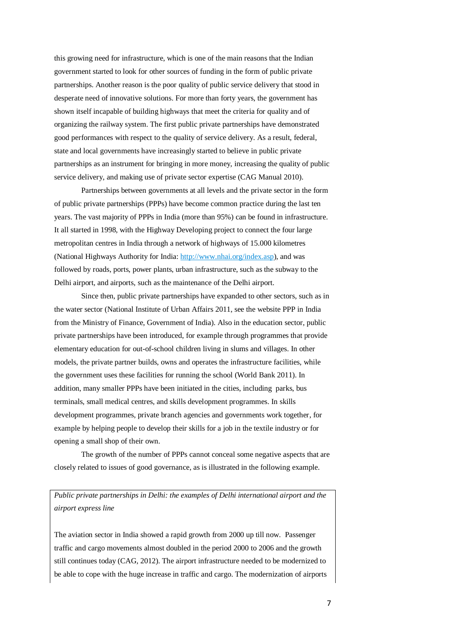this growing need for infrastructure, which is one of the main reasons that the Indian government started to look for other sources of funding in the form of public private partnerships. Another reason is the poor quality of public service delivery that stood in desperate need of innovative solutions. For more than forty years, the government has shown itself incapable of building highways that meet the criteria for quality and of organizing the railway system. The first public private partnerships have demonstrated good performances with respect to the quality of service delivery. As a result, federal, state and local governments have increasingly started to believe in public private partnerships as an instrument for bringing in more money, increasing the quality of public service delivery, and making use of private sector expertise (CAG Manual 2010).

Partnerships between governments at all levels and the private sector in the form of public private partnerships (PPPs) have become common practice during the last ten years. The vast majority of PPPs in India (more than 95%) can be found in infrastructure. It all started in 1998, with the Highway Developing project to connect the four large metropolitan centres in India through a network of highways of 15.000 kilometres (National Highways Authority for India[: http://www.nhai.org/index.asp\)](http://www.nhai.org/index.asp), and was followed by roads, ports, power plants, urban infrastructure, such as the subway to the Delhi airport, and airports, such as the maintenance of the Delhi airport.

Since then, public private partnerships have expanded to other sectors, such as in the water sector (National Institute of Urban Affairs 2011, see the website PPP in India from the Ministry of Finance, Government of India). Also in the education sector, public private partnerships have been introduced, for example through programmes that provide elementary education for out-of-school children living in slums and villages. In other models, the private partner builds, owns and operates the infrastructure facilities, while the government uses these facilities for running the school (World Bank 2011). In addition, many smaller PPPs have been initiated in the cities, including parks, bus terminals, small medical centres, and skills development programmes. In skills development programmes, private branch agencies and governments work together, for example by helping people to develop their skills for a job in the textile industry or for opening a small shop of their own.

The growth of the number of PPPs cannot conceal some negative aspects that are closely related to issues of good governance, as is illustrated in the following example.

*Public private partnerships in Delhi: the examples of Delhi international airport and the airport express line*

The aviation sector in India showed a rapid growth from 2000 up till now. Passenger traffic and cargo movements almost doubled in the period 2000 to 2006 and the growth still continues today (CAG, 2012). The airport infrastructure needed to be modernized to be able to cope with the huge increase in traffic and cargo. The modernization of airports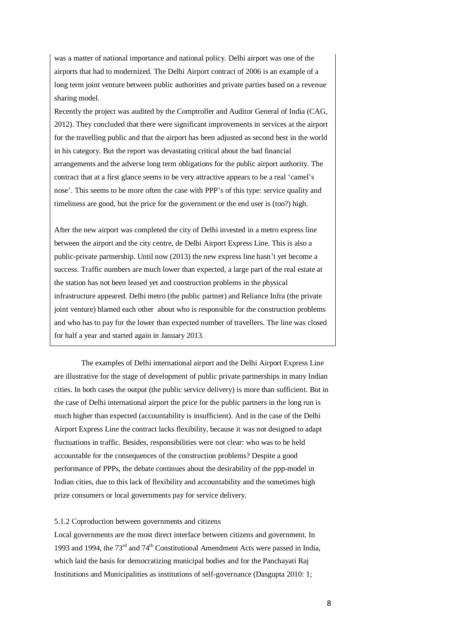was a matter of national importance and national policy. Delhi airport was one of the airports that had to modernized. The Delhi Airport contract of 2006 is an example of a long term joint venture between public authorities and private parties based on a revenue sharing model.

Recently the project was audited by the Comptroller and Auditor General of India (CAG, 2012). They concluded that there were significant improvements in services at the airport for the travelling public and that the airport has been adjusted as second best in the world in his category. But the report was devastating critical about the bad financial arrangements and the adverse long term obligations for the public airport authority. The contract that at a first glance seems to be very attractive appears to be a real 'camel's nose'. This seems to be more often the case with PPP's of this type: service quality and timeliness are good, but the price for the government or the end user is (too?) high.

After the new airport was completed the city of Delhi invested in a metro express line between the airport and the city centre, de Delhi Airport Express Line. This is also a public-private partnership. Until now (2013) the new express line hasn't yet become a success. Traffic numbers are much lower than expected, a large part of the real estate at the station has not been leased yet and construction problems in the physical infrastructure appeared. Delhi metro (the public partner) and Reliance Infra (the private joint venture) blamed each other about who is responsible for the construction problems and who has to pay for the lower than expected number of travellers. The line was closed for half a year and started again in January 2013.

The examples of Delhi international airport and the Delhi Airport Express Line are illustrative for the stage of development of public private partnerships in many Indian cities. In both cases the output (the public service delivery) is more than sufficient. But in the case of Delhi international airport the price for the public partners in the long run is much higher than expected (accountability is insufficient). And in the case of the Delhi Airport Express Line the contract lacks flexibility, because it was not designed to adapt fluctuations in traffic. Besides, responsibilities were not clear: who was to be held accountable for the consequences of the construction problems? Despite a good performance of PPPs, the debate continues about the desirability of the ppp-model in Indian cities, due to this lack of flexibility and accountability and the sometimes high prize consumers or local governments pay for service delivery.

### 5.1.2 Coproduction between governments and citizens

Local governments are the most direct interface between citizens and government. In 1993 and 1994, the  $73<sup>rd</sup>$  and  $74<sup>th</sup>$  Constitutional Amendment Acts were passed in India, which laid the basis for democratizing municipal bodies and for the Panchayati Raj Institutions and Municipalities as institutions of self-governance (Dasgupta 2010: 1;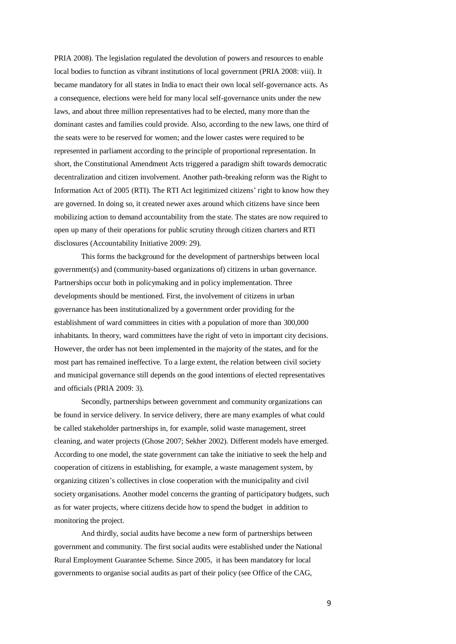PRIA 2008). The legislation regulated the devolution of powers and resources to enable local bodies to function as vibrant institutions of local government (PRIA 2008: viii). It became mandatory for all states in India to enact their own local self-governance acts. As a consequence, elections were held for many local self-governance units under the new laws, and about three million representatives had to be elected, many more than the dominant castes and families could provide. Also, according to the new laws, one third of the seats were to be reserved for women; and the lower castes were required to be represented in parliament according to the principle of proportional representation. In short, the Constitutional Amendment Acts triggered a paradigm shift towards democratic decentralization and citizen involvement. Another path-breaking reform was the Right to Information Act of 2005 (RTI). The RTI Act legitimized citizens' right to know how they are governed. In doing so, it created newer axes around which citizens have since been mobilizing action to demand accountability from the state. The states are now required to open up many of their operations for public scrutiny through citizen charters and RTI disclosures (Accountability Initiative 2009: 29).

This forms the background for the development of partnerships between local government(s) and (community-based organizations of) citizens in urban governance. Partnerships occur both in policymaking and in policy implementation. Three developments should be mentioned. First, the involvement of citizens in urban governance has been institutionalized by a government order providing for the establishment of ward committees in cities with a population of more than 300,000 inhabitants. In theory, ward committees have the right of veto in important city decisions. However, the order has not been implemented in the majority of the states, and for the most part has remained ineffective. To a large extent, the relation between civil society and municipal governance still depends on the good intentions of elected representatives and officials (PRIA 2009: 3).

Secondly, partnerships between government and community organizations can be found in service delivery. In service delivery, there are many examples of what could be called stakeholder partnerships in, for example, solid waste management, street cleaning, and water projects (Ghose 2007; Sekher 2002). Different models have emerged. According to one model, the state government can take the initiative to seek the help and cooperation of citizens in establishing, for example, a waste management system, by organizing citizen's collectives in close cooperation with the municipality and civil society organisations. Another model concerns the granting of participatory budgets, such as for water projects, where citizens decide how to spend the budget in addition to monitoring the project.

And thirdly, social audits have become a new form of partnerships between government and community. The first social audits were established under the National Rural Employment Guarantee Scheme. Since 2005, it has been mandatory for local governments to organise social audits as part of their policy (see Office of the CAG,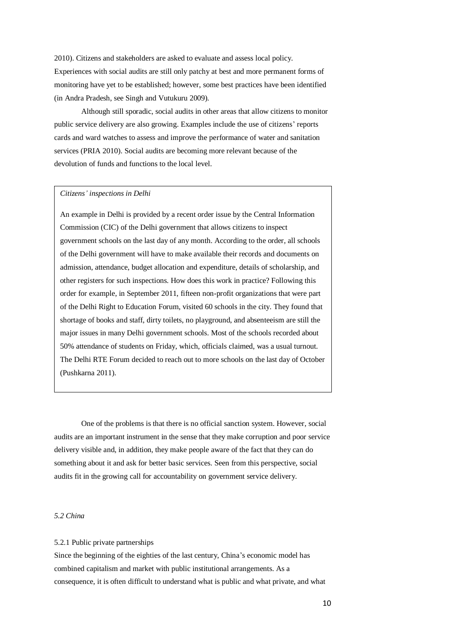2010). Citizens and stakeholders are asked to evaluate and assess local policy. Experiences with social audits are still only patchy at best and more permanent forms of monitoring have yet to be established; however, some best practices have been identified (in Andra Pradesh, see Singh and Vutukuru 2009).

Although still sporadic, social audits in other areas that allow citizens to monitor public service delivery are also growing. Examples include the use of citizens' reports cards and ward watches to assess and improve the performance of water and sanitation services (PRIA 2010). Social audits are becoming more relevant because of the devolution of funds and functions to the local level.

#### *Citizens' inspections in Delhi*

An example in Delhi is provided by a recent order issue by the Central Information Commission (CIC) of the Delhi government that allows citizens to inspect government schools on the last day of any month. According to the order, all schools of the Delhi government will have to make available their records and documents on admission, attendance, budget allocation and expenditure, details of scholarship, and other registers for such inspections. How does this work in practice? Following this order for example, in September 2011, fifteen non-profit organizations that were part of the Delhi Right to Education Forum, visited 60 schools in the city. They found that shortage of books and staff, dirty toilets, no playground, and absenteeism are still the major issues in many Delhi government schools. Most of the schools recorded about 50% attendance of students on Friday, which, officials claimed, was a usual turnout. The Delhi RTE Forum decided to reach out to more schools on the last day of October (Pushkarna 2011).

One of the problems is that there is no official sanction system. However, social audits are an important instrument in the sense that they make corruption and poor service delivery visible and, in addition, they make people aware of the fact that they can do something about it and ask for better basic services. Seen from this perspective, social audits fit in the growing call for accountability on government service delivery.

## *5.2 China*

#### 5.2.1 Public private partnerships

Since the beginning of the eighties of the last century, China's economic model has combined capitalism and market with public institutional arrangements. As a consequence, it is often difficult to understand what is public and what private, and what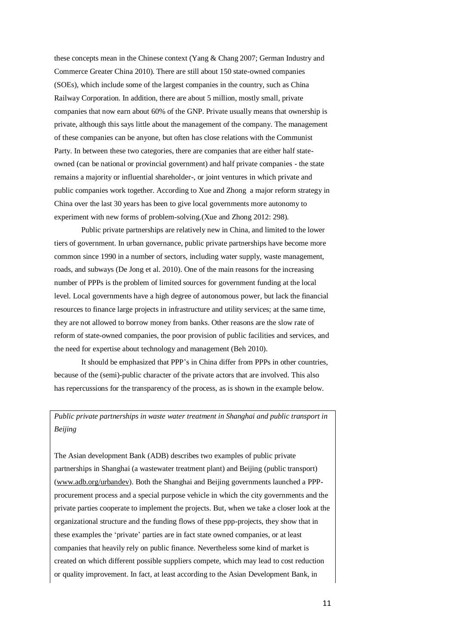these concepts mean in the Chinese context (Yang & Chang 2007; German Industry and Commerce Greater China 2010). There are still about 150 state-owned companies (SOEs), which include some of the largest companies in the country, such as China Railway Corporation. In addition, there are about 5 million, mostly small, private companies that now earn about 60% of the GNP. Private usually means that ownership is private, although this says little about the management of the company. The management of these companies can be anyone, but often has close relations with the Communist Party. In between these two categories, there are companies that are either half stateowned (can be national or provincial government) and half private companies - the state remains a majority or influential shareholder-, or joint ventures in which private and public companies work together. According to Xue and Zhong a major reform strategy in China over the last 30 years has been to give local governments more autonomy to experiment with new forms of problem-solving.(Xue and Zhong 2012: 298).

Public private partnerships are relatively new in China, and limited to the lower tiers of government. In urban governance, public private partnerships have become more common since 1990 in a number of sectors, including water supply, waste management, roads, and subways (De Jong et al. 2010). One of the main reasons for the increasing number of PPPs is the problem of limited sources for government funding at the local level. Local governments have a high degree of autonomous power, but lack the financial resources to finance large projects in infrastructure and utility services; at the same time, they are not allowed to borrow money from banks. Other reasons are the slow rate of reform of state-owned companies, the poor provision of public facilities and services, and the need for expertise about technology and management (Beh 2010).

It should be emphasized that PPP's in China differ from PPPs in other countries, because of the (semi)-public character of the private actors that are involved. This also has repercussions for the transparency of the process, as is shown in the example below.

*Public private partnerships in waste water treatment in Shanghai and public transport in Beijing*

The Asian development Bank (ADB) describes two examples of public private partnerships in Shanghai (a wastewater treatment plant) and Beijing (public transport) [\(www.adb.org/urbandev\)](http://www.adb.org/urbandev). Both the Shanghai and Beijing governments launched a PPPprocurement process and a special purpose vehicle in which the city governments and the private parties cooperate to implement the projects. But, when we take a closer look at the organizational structure and the funding flows of these ppp-projects, they show that in these examples the 'private' parties are in fact state owned companies, or at least companies that heavily rely on public finance. Nevertheless some kind of market is created on which different possible suppliers compete, which may lead to cost reduction or quality improvement. In fact, at least according to the Asian Development Bank, in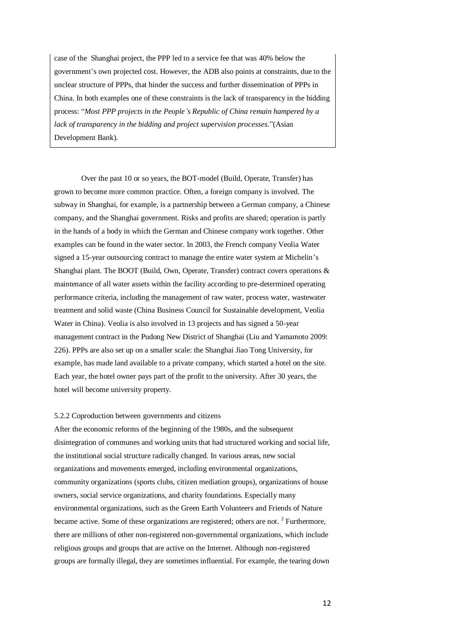case of the Shanghai project, the PPP led to a service fee that was 40% below the government's own projected cost. However, the ADB also points at constraints, due to the unclear structure of PPPs, that hinder the success and further dissemination of PPPs in China. In both examples one of these constraints is the lack of transparency in the bidding process: "*Most PPP projects in the People's Republic of China remain hampered by a lack of transparency in the bidding and project supervision processes.*"(Asian Development Bank).

Over the past 10 or so years, the BOT-model (Build, Operate, Transfer) has grown to become more common practice. Often, a foreign company is involved. The subway in Shanghai, for example, is a partnership between a German company, a Chinese company, and the Shanghai government. Risks and profits are shared; operation is partly in the hands of a body in which the German and Chinese company work together. Other examples can be found in the water sector. In 2003, the French company Veolia Water signed a 15-year outsourcing contract to manage the entire water system at Michelin's Shanghai plant. The BOOT (Build, Own, Operate, Transfer) contract covers operations & maintenance of all water assets within the facility according to pre-determined operating performance criteria, including the management of raw water, process water, wastewater treatment and solid waste (China Business Council for Sustainable development, Veolia Water in China). Veolia is also involved in 13 projects and has signed a 50-year management contract in the Pudong New District of Shanghai (Liu and Yamamoto 2009: 226). PPPs are also set up on a smaller scale: the Shanghai Jiao Tong University, for example, has made land available to a private company, which started a hotel on the site. Each year, the hotel owner pays part of the profit to the university. After 30 years, the hotel will become university property.

# 5.2.2 Coproduction between governments and citizens

After the economic reforms of the beginning of the 1980s, and the subsequent disintegration of communes and working units that had structured working and social life, the institutional social structure radically changed. In various areas, new social organizations and movements emerged, including environmental organizations, community organizations (sports clubs, citizen mediation groups), organizations of house owners, social service organizations, and charity foundations. Especially many environmental organizations, such as the Green Earth Volunteers and Friends of Nature became active. Some of these organizations are registered; others are not. <sup>2</sup> Furthermore, there are millions of other non-registered non-governmental organizations, which include religious groups and groups that are active on the Internet. Although non-registered groups are formally illegal, they are sometimes influential. For example, the tearing down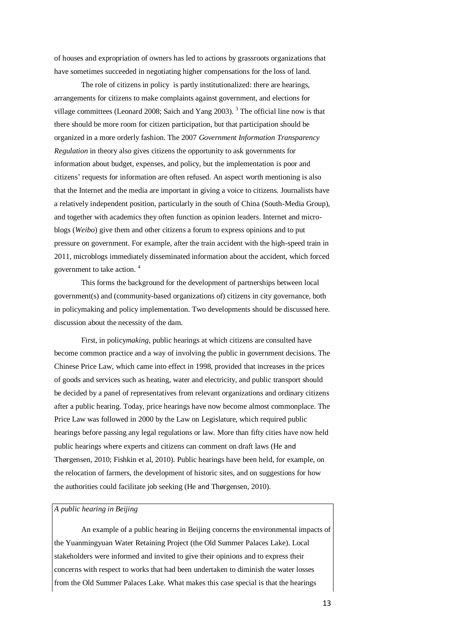of houses and expropriation of owners has led to actions by grassroots organizations that have sometimes succeeded in negotiating higher compensations for the loss of land.

The role of citizens in policy is partly institutionalized: there are hearings, arrangements for citizens to make complaints against government, and elections for village committees (Leonard 2008; Saich and Yang 2003). <sup>3</sup> The official line now is that there should be more room for citizen participation, but that participation should be organized in a more orderly fashion. The 2007 *Government Information Transparency Regulation* in theory also gives citizens the opportunity to ask governments for information about budget, expenses, and policy, but the implementation is poor and citizens' requests for information are often refused. An aspect worth mentioning is also that the Internet and the media are important in giving a voice to citizens. Journalists have a relatively independent position, particularly in the south of China (South-Media Group), and together with academics they often function as opinion leaders. Internet and microblogs (*Weibo*) give them and other citizens a forum to express opinions and to put pressure on government. For example, after the train accident with the high-speed train in 2011, microblogs immediately disseminated information about the accident, which forced government to take action. <sup>4</sup>

This forms the background for the development of partnerships between local government(s) and (community-based organizations of) citizens in city governance, both in policymaking and policy implementation. Two developments should be discussed here. discussion about the necessity of the dam.

First, in policy*making*, public hearings at which citizens are consulted have become common practice and a way of involving the public in government decisions. The Chinese Price Law, which came into effect in 1998, provided that increases in the prices of goods and services such as heating, water and electricity, and public transport should be decided by a panel of representatives from relevant organizations and ordinary citizens after a public hearing. Today, price hearings have now become almost commonplace. The Price Law was followed in 2000 by the Law on Legislature, which required public hearings before passing any legal regulations or law. More than fifty cities have now held public hearings where experts and citizens can comment on draft laws (He and Thørgensen, 2010; Fishkin et al, 2010). Public hearings have been held, for example, on the relocation of farmers, the development of historic sites, and on suggestions for how the authorities could facilitate job seeking (He and Thørgensen, 2010).

# *A public hearing in Beijing*

An example of a public hearing in Beijing concerns the environmental impacts of the Yuanmingyuan Water Retaining Project (the Old Summer Palaces Lake). Local stakeholders were informed and invited to give their opinions and to express their concerns with respect to works that had been undertaken to diminish the water losses from the Old Summer Palaces Lake. What makes this case special is that the hearings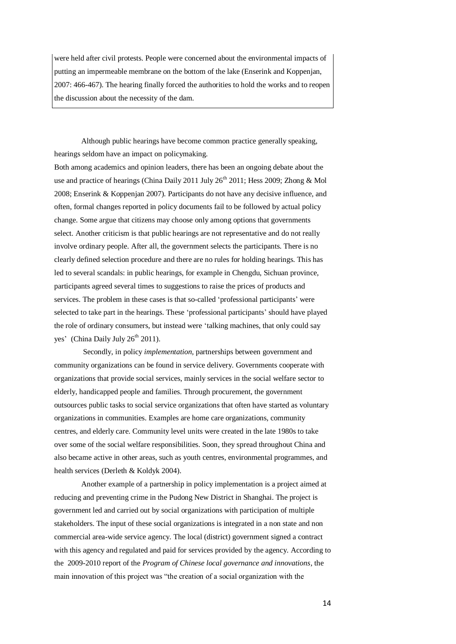were held after civil protests. People were concerned about the environmental impacts of putting an impermeable membrane on the bottom of the lake (Enserink and Koppenjan, 2007: 466-467). The hearing finally forced the authorities to hold the works and to reopen the discussion about the necessity of the dam.

Although public hearings have become common practice generally speaking, hearings seldom have an impact on policymaking.

Both among academics and opinion leaders, there has been an ongoing debate about the use and practice of hearings (China Daily 2011 July  $26<sup>th</sup>$  2011; Hess 2009; Zhong & Mol 2008; Enserink & Koppenjan 2007). Participants do not have any decisive influence, and often, formal changes reported in policy documents fail to be followed by actual policy change. Some argue that citizens may choose only among options that governments select. Another criticism is that public hearings are not representative and do not really involve ordinary people. After all, the government selects the participants. There is no clearly defined selection procedure and there are no rules for holding hearings. This has led to several scandals: in public hearings, for example in Chengdu, Sichuan province, participants agreed several times to suggestions to raise the prices of products and services. The problem in these cases is that so-called 'professional participants' were selected to take part in the hearings. These 'professional participants' should have played the role of ordinary consumers, but instead were 'talking machines, that only could say ves' (China Daily July  $26<sup>th</sup> 2011$ ).

Secondly, in policy *implementation*, partnerships between government and community organizations can be found in service delivery. Governments cooperate with organizations that provide social services, mainly services in the social welfare sector to elderly, handicapped people and families. Through procurement, the government outsources public tasks to social service organizations that often have started as voluntary organizations in communities. Examples are home care organizations, community centres, and elderly care. Community level units were created in the late 1980s to take over some of the social welfare responsibilities. Soon, they spread throughout China and also became active in other areas, such as youth centres, environmental programmes, and health services (Derleth & Koldyk 2004).

Another example of a partnership in policy implementation is a project aimed at reducing and preventing crime in the Pudong New District in Shanghai. The project is government led and carried out by social organizations with participation of multiple stakeholders. The input of these social organizations is integrated in a non state and non commercial area-wide service agency. The local (district) government signed a contract with this agency and regulated and paid for services provided by the agency. According to the 2009-2010 report of the *Program of Chinese local governance and innovations*, the main innovation of this project was "the creation of a social organization with the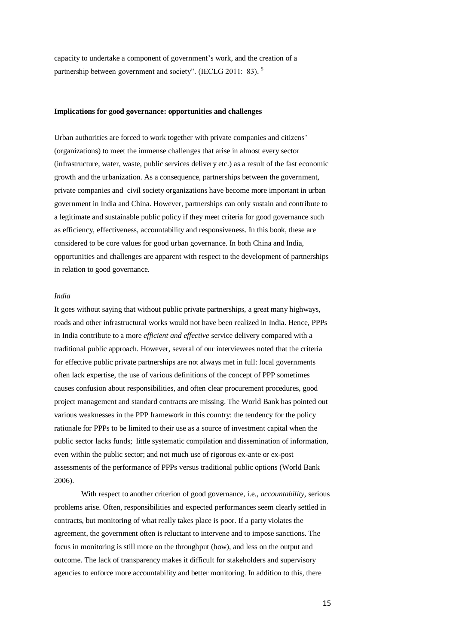capacity to undertake a component of government's work, and the creation of a partnership between government and society". (IECLG 2011: 83).<sup>5</sup>

#### **Implications for good governance: opportunities and challenges**

Urban authorities are forced to work together with private companies and citizens' (organizations) to meet the immense challenges that arise in almost every sector (infrastructure, water, waste, public services delivery etc.) as a result of the fast economic growth and the urbanization. As a consequence, partnerships between the government, private companies and civil society organizations have become more important in urban government in India and China. However, partnerships can only sustain and contribute to a legitimate and sustainable public policy if they meet criteria for good governance such as efficiency, effectiveness, accountability and responsiveness. In this book, these are considered to be core values for good urban governance. In both China and India, opportunities and challenges are apparent with respect to the development of partnerships in relation to good governance.

## *India*

It goes without saying that without public private partnerships, a great many highways, roads and other infrastructural works would not have been realized in India. Hence, PPPs in India contribute to a more *efficient and effective* service delivery compared with a traditional public approach. However, several of our interviewees noted that the criteria for effective public private partnerships are not always met in full: local governments often lack expertise, the use of various definitions of the concept of PPP sometimes causes confusion about responsibilities, and often clear procurement procedures, good project management and standard contracts are missing. The World Bank has pointed out various weaknesses in the PPP framework in this country: the tendency for the policy rationale for PPPs to be limited to their use as a source of investment capital when the public sector lacks funds; little systematic compilation and dissemination of information, even within the public sector; and not much use of rigorous ex-ante or ex-post assessments of the performance of PPPs versus traditional public options (World Bank 2006).

With respect to another criterion of good governance, i.e., *accountability*, serious problems arise. Often, responsibilities and expected performances seem clearly settled in contracts, but monitoring of what really takes place is poor. If a party violates the agreement, the government often is reluctant to intervene and to impose sanctions. The focus in monitoring is still more on the throughput (how), and less on the output and outcome. The lack of transparency makes it difficult for stakeholders and supervisory agencies to enforce more accountability and better monitoring. In addition to this, there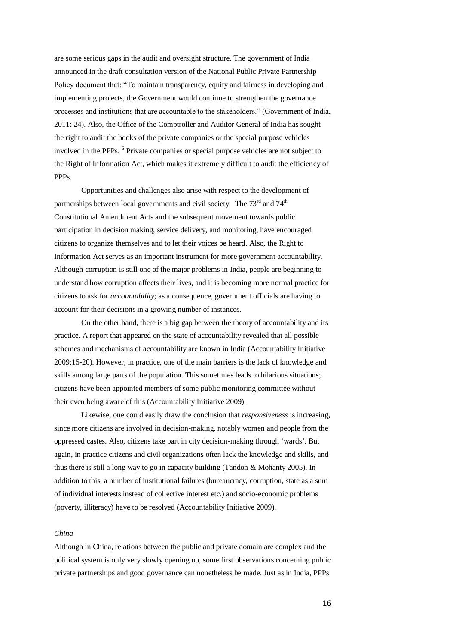are some serious gaps in the audit and oversight structure. The government of India announced in the draft consultation version of the National Public Private Partnership Policy document that: "To maintain transparency, equity and fairness in developing and implementing projects, the Government would continue to strengthen the governance processes and institutions that are accountable to the stakeholders." (Government of India, 2011: 24). Also, the Office of the Comptroller and Auditor General of India has sought the right to audit the books of the private companies or the special purpose vehicles involved in the PPPs. <sup>6</sup> Private companies or special purpose vehicles are not subject to the Right of Information Act, which makes it extremely difficult to audit the efficiency of PPPs.

Opportunities and challenges also arise with respect to the development of partnerships between local governments and civil society. The  $73<sup>rd</sup>$  and  $74<sup>th</sup>$ Constitutional Amendment Acts and the subsequent movement towards public participation in decision making, service delivery, and monitoring, have encouraged citizens to organize themselves and to let their voices be heard. Also, the Right to Information Act serves as an important instrument for more government accountability. Although corruption is still one of the major problems in India, people are beginning to understand how corruption affects their lives, and it is becoming more normal practice for citizens to ask for *accountability*; as a consequence, government officials are having to account for their decisions in a growing number of instances.

On the other hand, there is a big gap between the theory of accountability and its practice. A report that appeared on the state of accountability revealed that all possible schemes and mechanisms of accountability are known in India (Accountability Initiative 2009:15-20). However, in practice, one of the main barriers is the lack of knowledge and skills among large parts of the population. This sometimes leads to hilarious situations; citizens have been appointed members of some public monitoring committee without their even being aware of this (Accountability Initiative 2009).

Likewise, one could easily draw the conclusion that *responsiveness* is increasing, since more citizens are involved in decision-making, notably women and people from the oppressed castes. Also, citizens take part in city decision-making through 'wards'. But again, in practice citizens and civil organizations often lack the knowledge and skills, and thus there is still a long way to go in capacity building (Tandon & Mohanty 2005). In addition to this, a number of institutional failures (bureaucracy, corruption, state as a sum of individual interests instead of collective interest etc.) and socio-economic problems (poverty, illiteracy) have to be resolved (Accountability Initiative 2009).

### *China*

Although in China, relations between the public and private domain are complex and the political system is only very slowly opening up, some first observations concerning public private partnerships and good governance can nonetheless be made. Just as in India, PPPs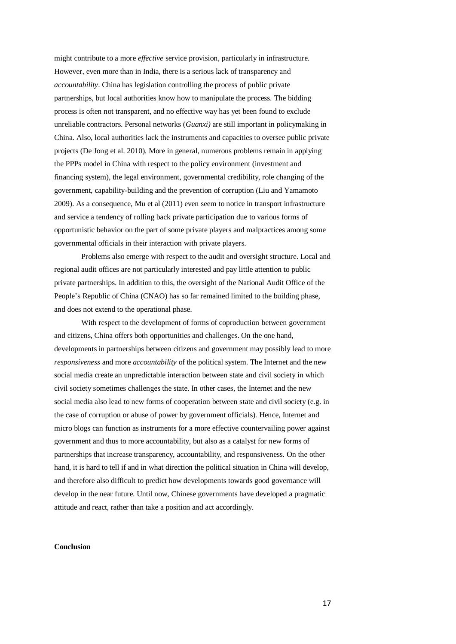might contribute to a more *effective* service provision, particularly in infrastructure. However, even more than in India, there is a serious lack of transparency and *accountability*. China has legislation controlling the process of public private partnerships, but local authorities know how to manipulate the process. The bidding process is often not transparent, and no effective way has yet been found to exclude unreliable contractors. Personal networks (*Guanxi)* are still important in policymaking in China. Also, local authorities lack the instruments and capacities to oversee public private projects (De Jong et al. 2010). More in general, numerous problems remain in applying the PPPs model in China with respect to the policy environment (investment and financing system), the legal environment, governmental credibility, role changing of the government, capability-building and the prevention of corruption (Liu and Yamamoto 2009). As a consequence, Mu et al (2011) even seem to notice in transport infrastructure and service a tendency of rolling back private participation due to various forms of opportunistic behavior on the part of some private players and malpractices among some governmental officials in their interaction with private players.

Problems also emerge with respect to the audit and oversight structure. Local and regional audit offices are not particularly interested and pay little attention to public private partnerships. In addition to this, the oversight of the National Audit Office of the People's Republic of China (CNAO) has so far remained limited to the building phase, and does not extend to the operational phase.

With respect to the development of forms of coproduction between government and citizens, China offers both opportunities and challenges. On the one hand, developments in partnerships between citizens and government may possibly lead to more *responsiveness* and more *accountability* of the political system. The Internet and the new social media create an unpredictable interaction between state and civil society in which civil society sometimes challenges the state. In other cases, the Internet and the new social media also lead to new forms of cooperation between state and civil society (e.g. in the case of corruption or abuse of power by government officials). Hence, Internet and micro blogs can function as instruments for a more effective countervailing power against government and thus to more accountability, but also as a catalyst for new forms of partnerships that increase transparency, accountability, and responsiveness. On the other hand, it is hard to tell if and in what direction the political situation in China will develop, and therefore also difficult to predict how developments towards good governance will develop in the near future. Until now, Chinese governments have developed a pragmatic attitude and react, rather than take a position and act accordingly.

## **Conclusion**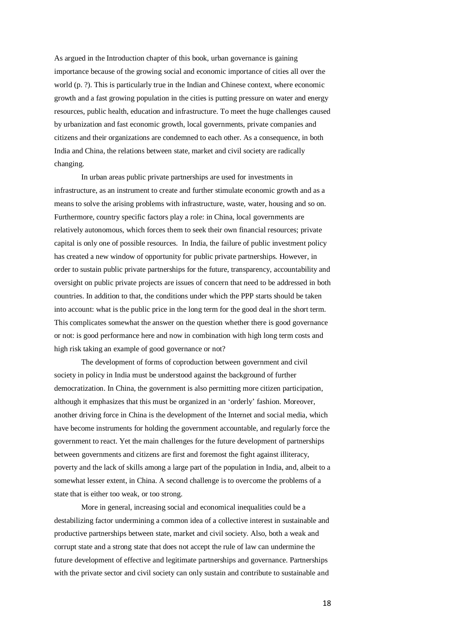As argued in the Introduction chapter of this book, urban governance is gaining importance because of the growing social and economic importance of cities all over the world (p. ?). This is particularly true in the Indian and Chinese context, where economic growth and a fast growing population in the cities is putting pressure on water and energy resources, public health, education and infrastructure. To meet the huge challenges caused by urbanization and fast economic growth, local governments, private companies and citizens and their organizations are condemned to each other. As a consequence, in both India and China, the relations between state, market and civil society are radically changing.

In urban areas public private partnerships are used for investments in infrastructure, as an instrument to create and further stimulate economic growth and as a means to solve the arising problems with infrastructure, waste, water, housing and so on. Furthermore, country specific factors play a role: in China, local governments are relatively autonomous, which forces them to seek their own financial resources; private capital is only one of possible resources. In India, the failure of public investment policy has created a new window of opportunity for public private partnerships. However, in order to sustain public private partnerships for the future, transparency, accountability and oversight on public private projects are issues of concern that need to be addressed in both countries. In addition to that, the conditions under which the PPP starts should be taken into account: what is the public price in the long term for the good deal in the short term. This complicates somewhat the answer on the question whether there is good governance or not: is good performance here and now in combination with high long term costs and high risk taking an example of good governance or not?

The development of forms of coproduction between government and civil society in policy in India must be understood against the background of further democratization. In China, the government is also permitting more citizen participation, although it emphasizes that this must be organized in an 'orderly' fashion. Moreover, another driving force in China is the development of the Internet and social media, which have become instruments for holding the government accountable, and regularly force the government to react. Yet the main challenges for the future development of partnerships between governments and citizens are first and foremost the fight against illiteracy, poverty and the lack of skills among a large part of the population in India, and, albeit to a somewhat lesser extent, in China. A second challenge is to overcome the problems of a state that is either too weak, or too strong.

More in general, increasing social and economical inequalities could be a destabilizing factor undermining a common idea of a collective interest in sustainable and productive partnerships between state, market and civil society. Also, both a weak and corrupt state and a strong state that does not accept the rule of law can undermine the future development of effective and legitimate partnerships and governance. Partnerships with the private sector and civil society can only sustain and contribute to sustainable and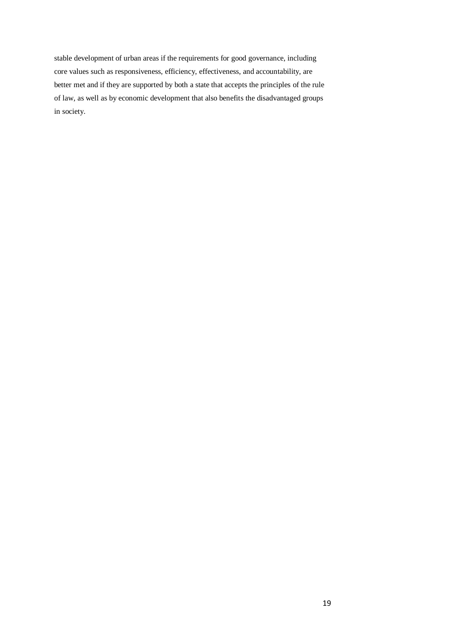stable development of urban areas if the requirements for good governance, including core values such as responsiveness, efficiency, effectiveness, and accountability, are better met and if they are supported by both a state that accepts the principles of the rule of law, as well as by economic development that also benefits the disadvantaged groups in society.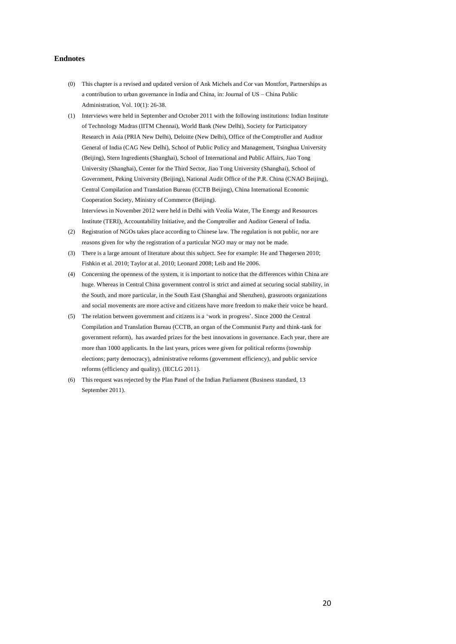## **Endnotes**

- (0) This chapter is a revised and updated version of Ank Michels and Cor van Montfort, Partnerships as a contribution to urban governance in India and China, in: Journal of US – China Public Administration, Vol. 10(1): 26-38.
- (1) Interviews were held in September and October 2011 with the following institutions: Indian Institute of Technology Madras (IITM Chennai), World Bank (New Delhi), Society for Participatory Research in Asia (PRIA New Delhi), Deloitte (New Delhi), Office of the Comptroller and Auditor General of India (CAG New Delhi), School of Public Policy and Management, Tsinghua University (Beijing), Stern Ingredients (Shanghai), School of International and Public Affairs, Jiao Tong University (Shanghai), Center for the Third Sector, Jiao Tong University (Shanghai), School of Government, Peking University (Beijing), National Audit Office of the P.R. China (CNAO Beijing), Central Compilation and Translation Bureau (CCTB Beijing), China International Economic Cooperation Society, Ministry of Commerce (Beijing). Interviews in November 2012 were held in Delhi with Veolia Water, The Energy and Resources
- Institute (TERI), Accountability Initiative, and the Comptroller and Auditor General of India. (2) Registration of NGOs takes place according to Chinese law. The regulation is not public, nor are
- reasons given for why the registration of a particular NGO may or may not be made. (3) There is a large amount of literature about this subject. See for example: He and Thøgersen 2010; Fishkin et al. 2010; Taylor at al. 2010; Leonard 2008; Leib and He 2006.
- (4) Concerning the openness of the system, it is important to notice that the differences within China are huge. Whereas in Central China government control is strict and aimed at securing social stability, in the South, and more particular, in the South East (Shanghai and Shenzhen), grassroots organizations and social movements are more active and citizens have more freedom to make their voice be heard.
- (5) The relation between government and citizens is a 'work in progress'. Since 2000 the Central Compilation and Translation Bureau (CCTB, an organ of the Communist Party and think-tank for government reform), has awarded prizes for the best innovations in governance. Each year, there are more than 1000 applicants. In the last years, prices were given for political reforms (township elections; party democracy), administrative reforms (government efficiency), and public service reforms (efficiency and quality). (IECLG 2011).
- (6) This request was rejected by the Plan Panel of the Indian Parliament (Business standard, 13 September 2011).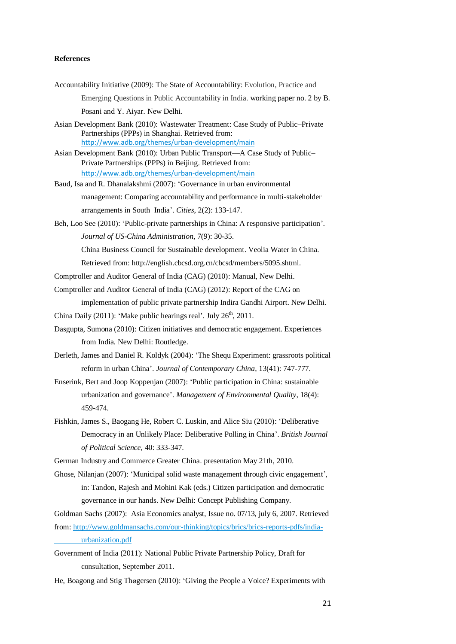# **References**

- Accountability Initiative (2009): The State of Accountability: Evolution, Practice and Emerging Questions in Public Accountability in India. working paper no. 2 by B. Posani and Y. Aiyar. New Delhi.
- Asian Development Bank (2010): Wastewater Treatment: Case Study of Public–Private Partnerships (PPPs) in Shanghai. Retrieved from: <http://www.adb.org/themes/urban-development/main>

Asian Development Bank (2010): Urban Public Transport—A Case Study of Public– Private Partnerships (PPPs) in Beijing. Retrieved from: <http://www.adb.org/themes/urban-development/main>

- Baud, Isa and R. Dhanalakshmi (2007): 'Governance in urban environmental management: Comparing accountability and performance in multi-stakeholder arrangements in South India'. *Cities*, 2(2): 133-147.
- Beh, Loo See (2010): 'Public-private partnerships in China: A responsive participation'. *Journal of US-China Administration*, 7(9): 30-35.

China Business Council for Sustainable development. Veolia Water in China.

Retrieved from: http://english.cbcsd.org.cn/cbcsd/members/5095.shtml.

- Comptroller and Auditor General of India (CAG) (2010): Manual, New Delhi.
- Comptroller and Auditor General of India (CAG) (2012): Report of the CAG on

implementation of public private partnership Indira Gandhi Airport. New Delhi.

- China Daily (2011): 'Make public hearings real'. July  $26<sup>th</sup>$ , 2011.
- Dasgupta, Sumona (2010): Citizen initiatives and democratic engagement. Experiences from India. New Delhi: Routledge.
- Derleth, James and Daniel R. Koldyk (2004): 'The Shequ Experiment: grassroots political reform in urban China'. *Journal of Contemporary China*, 13(41): 747-777.

Enserink, Bert and Joop Koppenjan (2007): 'Public participation in China: sustainable urbanization and governance'. *Management of Environmental Quality*, 18(4): 459-474.

Fishkin, James S., Baogang He, Robert C. Luskin, and Alice Siu (2010): 'Deliberative Democracy in an Unlikely Place: Deliberative Polling in China'. *British Journal of Political Science*, 40: 333-347.

German Industry and Commerce Greater China. presentation May 21th, 2010.

Ghose, Nilanian (2007): 'Municipal solid waste management through civic engagement', in: Tandon, Rajesh and Mohini Kak (eds.) Citizen participation and democratic governance in our hands. New Delhi: Concept Publishing Company.

Goldman Sachs (2007): Asia Economics analyst, Issue no. 07/13, july 6, 2007. Retrieved from[: http://www.goldmansachs.com/our-thinking/topics/brics/brics-reports-pdfs/india](http://www.goldmansachs.com/our-thinking/topics/brics/brics-reports-pdfs/india-%09urbanization.pdf)[urbanization.pdf](http://www.goldmansachs.com/our-thinking/topics/brics/brics-reports-pdfs/india-%09urbanization.pdf)

Government of India (2011): National Public Private Partnership Policy, Draft for consultation, September 2011.

He, Boagong and Stig Thøgersen (2010): 'Giving the People a Voice? Experiments with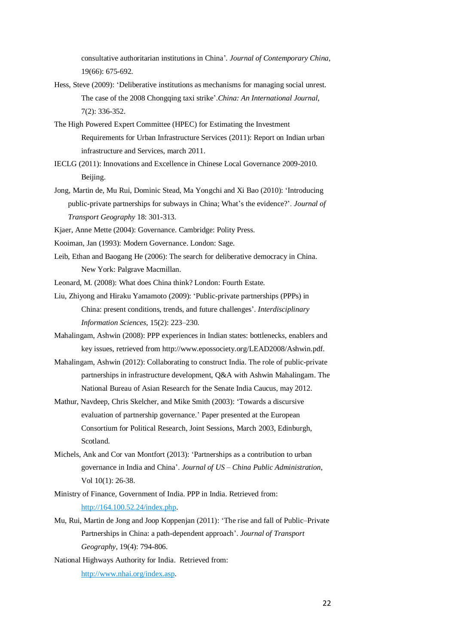consultative authoritarian institutions in China'*. Journal of Contemporary China*, 19(66): 675-692.

- Hess, Steve (2009): 'Deliberative institutions as mechanisms for managing social unrest. The case of the 2008 Chongqing taxi strike'.*China: An International Journal*, 7(2): 336-352.
- The High Powered Expert Committee (HPEC) for Estimating the Investment Requirements for Urban Infrastructure Services (2011): Report on Indian urban infrastructure and Services, march 2011.
- IECLG (2011): Innovations and Excellence in Chinese Local Governance 2009-2010. Beijing.
- Jong, Martin de, Mu Rui, Dominic Stead, Ma Yongchi and Xi Bao (2010): 'Introducing public-private partnerships for subways in China; What's the evidence?'. *Journal of Transport Geography* 18: 301-313.
- Kjaer, Anne Mette (2004): Governance. Cambridge: Polity Press.
- Kooiman, Jan (1993): Modern Governance. London: Sage.
- Leib, Ethan and Baogang He (2006): The search for deliberative democracy in China. New York: Palgrave Macmillan.
- Leonard, M. (2008): What does China think? London: Fourth Estate.
- Liu, Zhiyong and Hiraku Yamamoto (2009): 'Public-private partnerships (PPPs) in China: present conditions, trends, and future challenges'. *Interdisciplinary Information Sciences*, 15(2): 223–230.
- Mahalingam, Ashwin (2008): PPP experiences in Indian states: bottlenecks, enablers and key issues, retrieved from http://www.epossociety.org/LEAD2008/Ashwin.pdf.
- Mahalingam, Ashwin (2012): Collaborating to construct India. The role of public-private partnerships in infrastructure development, Q&A with Ashwin Mahalingam. The National Bureau of Asian Research for the Senate India Caucus, may 2012.
- Mathur, Navdeep, Chris Skelcher, and Mike Smith (2003): 'Towards a discursive evaluation of partnership governance.' Paper presented at the European Consortium for Political Research, Joint Sessions, March 2003, Edinburgh, Scotland.
- Michels, Ank and Cor van Montfort (2013): 'Partnerships as a contribution to urban governance in India and China'. *Journal of US – China Public Administration*, Vol 10(1): 26-38.
- Ministry of Finance, Government of India. PPP in India. Retrieved from: [http://164.100.52.24/index.php.](http://164.100.52.24/index.php)
- Mu, Rui, Martin de Jong and Joop Koppenjan (2011): 'The rise and fall of Public–Private Partnerships in China: a path-dependent approach'. *Journal of Transport Geography*, 19(4): 794-806.
- National Highways Authority for India. Retrieved from: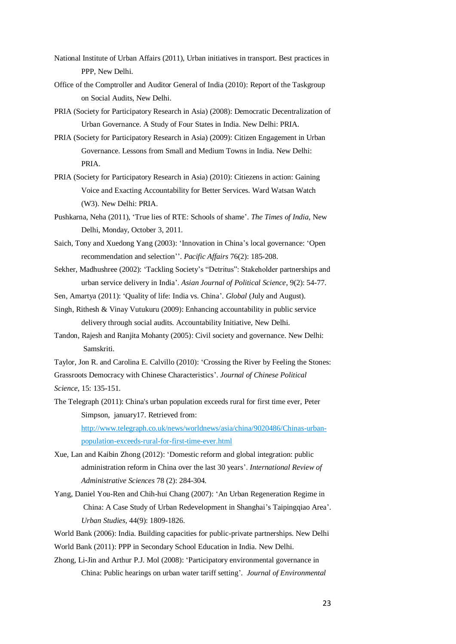- National Institute of Urban Affairs (2011), Urban initiatives in transport. Best practices in PPP, New Delhi.
- Office of the Comptroller and Auditor General of India (2010): Report of the Taskgroup on Social Audits, New Delhi.
- PRIA (Society for Participatory Research in Asia) (2008): Democratic Decentralization of Urban Governance. A Study of Four States in India. New Delhi: PRIA.
- PRIA (Society for Participatory Research in Asia) (2009): Citizen Engagement in Urban Governance. Lessons from Small and Medium Towns in India. New Delhi: PRIA.
- PRIA (Society for Participatory Research in Asia) (2010): Citiezens in action: Gaining Voice and Exacting Accountability for Better Services. Ward Watsan Watch (W3). New Delhi: PRIA.
- Pushkarna, Neha (2011), 'True lies of RTE: Schools of shame'. *The Times of India*, New Delhi, Monday, October 3, 2011.
- Saich, Tony and Xuedong Yang (2003): 'Innovation in China's local governance: 'Open recommendation and selection''. *Pacific Affairs* 76(2): 185-208.
- Sekher, Madhushree (2002): 'Tackling Society's "Detritus": Stakeholder partnerships and urban service delivery in India'. *Asian Journal of Political Science*, 9(2): 54-77.

Sen, Amartya (2011): 'Quality of life: India vs. China'. *Global* (July and August).

- Singh, Rithesh & Vinay Vutukuru (2009): Enhancing accountability in public service delivery through social audits. Accountability Initiative, New Delhi.
- Tandon, Rajesh and Ranjita Mohanty (2005): Civil society and governance. New Delhi: Samskriti.
- Taylor, Jon R. and Carolina E. Calvillo (2010): 'Crossing the River by Feeling the Stones: Grassroots Democracy with Chinese Characteristics'. *Journal of Chinese Political Science*, 15: 135-151.
- The Telegraph (2011): China's urban population exceeds rural for first time ever, Peter Simpson, january17. Retrieved from: [http://www.telegraph.co.uk/news/worldnews/asia/china/9020486/Chinas-urban-](http://www.telegraph.co.uk/news/worldnews/asia/china/9020486/Chinas-urban-population-exceeds-rural-for-first-time-ever.html)

[population-exceeds-rural-for-first-time-ever.html](http://www.telegraph.co.uk/news/worldnews/asia/china/9020486/Chinas-urban-population-exceeds-rural-for-first-time-ever.html)

- Xue, Lan and Kaibin Zhong (2012): 'Domestic reform and global integration: public administration reform in China over the last 30 years'. *International Review of Administrative Sciences* 78 (2): 284-304.
- Yang, Daniel You-Ren and Chih-hui Chang (2007): 'An Urban Regeneration Regime in China: A Case Study of Urban Redevelopment in Shanghai's Taipingqiao Area'. *Urban Studies,* 44(9): 1809-1826.

World Bank (2006): India. Building capacities for public-private partnerships. New Delhi World Bank (2011): PPP in Secondary School Education in India. New Delhi.

Zhong, Li-Jin and Arthur P.J. Mol (2008): 'Participatory environmental governance in China: Public hearings on urban water tariff setting'*. Journal of Environmental*